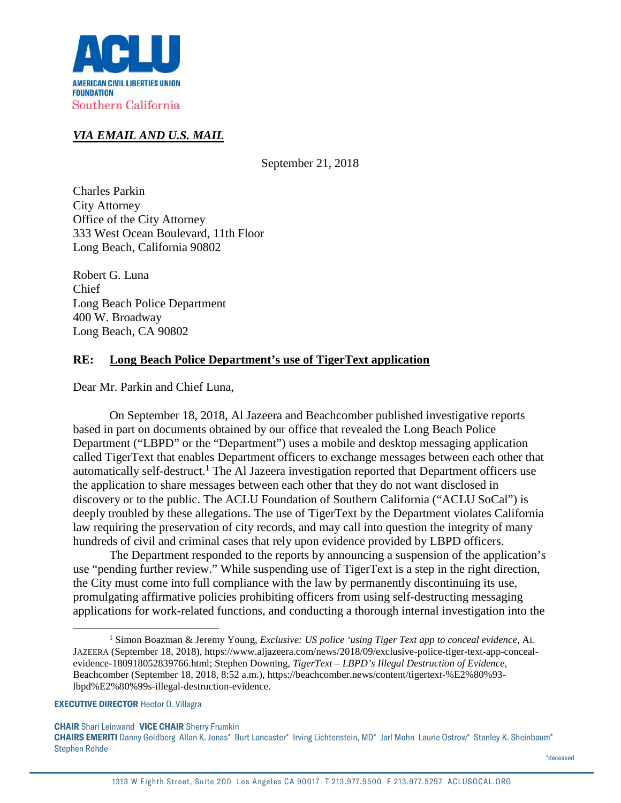

## *VIA EMAIL AND U.S. MAIL*

September 21, 2018

Charles Parkin City Attorney Office of the City Attorney 333 West Ocean Boulevard, 11th Floor Long Beach, California 90802

Robert G. Luna Chief Long Beach Police Department 400 W. Broadway Long Beach, CA 90802

### **RE: Long Beach Police Department's use of TigerText application**

Dear Mr. Parkin and Chief Luna,

On September 18, 2018, Al Jazeera and Beachcomber published investigative reports based in part on documents obtained by our office that revealed the Long Beach Police Department ("LBPD" or the "Department") uses a mobile and desktop messaging application called TigerText that enables Department officers to exchange messages between each other that automatically self-destruct.<sup>1</sup> The Al Jazeera investigation reported that Department officers use the application to share messages between each other that they do not want disclosed in discovery or to the public. The ACLU Foundation of Southern California ("ACLU SoCal") is deeply troubled by these allegations. The use of TigerText by the Department violates California law requiring the preservation of city records, and may call into question the integrity of many hundreds of civil and criminal cases that rely upon evidence provided by LBPD officers.

The Department responded to the reports by announcing a suspension of the application's use "pending further review." While suspending use of TigerText is a step in the right direction, the City must come into full compliance with the law by permanently discontinuing its use, promulgating affirmative policies prohibiting officers from using self-destructing messaging applications for work-related functions, and conducting a thorough internal investigation into the

**EXECUTIVE DIRECTOR** Hector O. Villagra

**CHAIR** Shari Leinwand **VICE CHAIR** Sherry Frumkin

<sup>1</sup> Simon Boazman & Jeremy Young, *Exclusive: US police 'using Tiger Text app to conceal evidence*, AL JAZEERA (September 18, 2018), https://www.aljazeera.com/news/2018/09/exclusive-police-tiger-text-app-concealevidence-180918052839766.html; Stephen Downing, *TigerText – LBPD's Illegal Destruction of Evidence*, Beachcomber (September 18, 2018, 8:52 a.m.), https://beachcomber.news/content/tigertext-%E2%80%93 lbpd%E2%80%99s-illegal-destruction-evidence.

**CHAIRS EMERITI** Danny Goldberg Allan K. Jonas\* Burt Lancaster\* Irving Lichtenstein, MD\* Jarl Mohn Laurie Ostrow\* Stanley K. Sheinbaum\* Stephen Rohde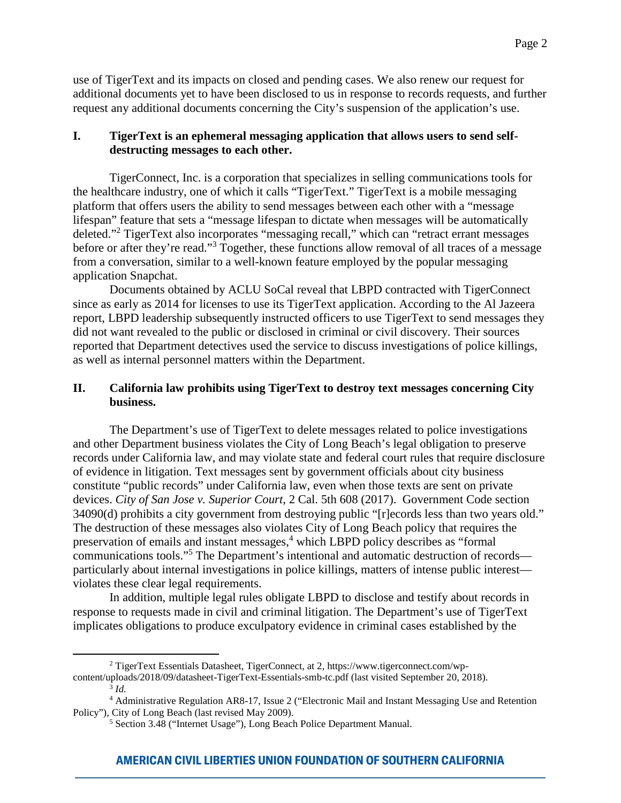use of TigerText and its impacts on closed and pending cases. We also renew our request for additional documents yet to have been disclosed to us in response to records requests, and further request any additional documents concerning the City's suspension of the application's use.

# **I. TigerText is an ephemeral messaging application that allows users to send selfdestructing messages to each other.**

TigerConnect, Inc. is a corporation that specializes in selling communications tools for the healthcare industry, one of which it calls "TigerText." TigerText is a mobile messaging platform that offers users the ability to send messages between each other with a "message lifespan" feature that sets a "message lifespan to dictate when messages will be automatically deleted."<sup>2</sup> TigerText also incorporates "messaging recall," which can "retract errant messages before or after they're read."<sup>3</sup> Together, these functions allow removal of all traces of a message from a conversation, similar to a well-known feature employed by the popular messaging application Snapchat.

Documents obtained by ACLU SoCal reveal that LBPD contracted with TigerConnect since as early as 2014 for licenses to use its TigerText application. According to the Al Jazeera report, LBPD leadership subsequently instructed officers to use TigerText to send messages they did not want revealed to the public or disclosed in criminal or civil discovery. Their sources reported that Department detectives used the service to discuss investigations of police killings, as well as internal personnel matters within the Department.

## **II. California law prohibits using TigerText to destroy text messages concerning City business.**

The Department's use of TigerText to delete messages related to police investigations and other Department business violates the City of Long Beach's legal obligation to preserve records under California law, and may violate state and federal court rules that require disclosure of evidence in litigation. Text messages sent by government officials about city business constitute "public records" under California law, even when those texts are sent on private devices. *City of San Jose v. Superior Court*, 2 Cal. 5th 608 (2017). Government Code section 34090(d) prohibits a city government from destroying public "[r]ecords less than two years old." The destruction of these messages also violates City of Long Beach policy that requires the preservation of emails and instant messages,<sup>4</sup> which LBPD policy describes as "formal communications tools."<sup>5</sup> The Department's intentional and automatic destruction of records particularly about internal investigations in police killings, matters of intense public interest violates these clear legal requirements.

In addition, multiple legal rules obligate LBPD to disclose and testify about records in response to requests made in civil and criminal litigation. The Department's use of TigerText implicates obligations to produce exculpatory evidence in criminal cases established by the

# **AMERICAN CIVIL LIBERTIES UNION FOUNDATION OF SOUTHERN CALIFORNIA**

<sup>2</sup> TigerText Essentials Datasheet, TigerConnect, at 2, https://www.tigerconnect.com/wpcontent/uploads/2018/09/datasheet-TigerText-Essentials-smb-tc.pdf (last visited September 20, 2018). 3 *Id.*

<sup>4</sup> Administrative Regulation AR8-17, Issue 2 ("Electronic Mail and Instant Messaging Use and Retention Policy"), City of Long Beach (last revised May 2009).

<sup>5</sup> Section 3.48 ("Internet Usage"), Long Beach Police Department Manual.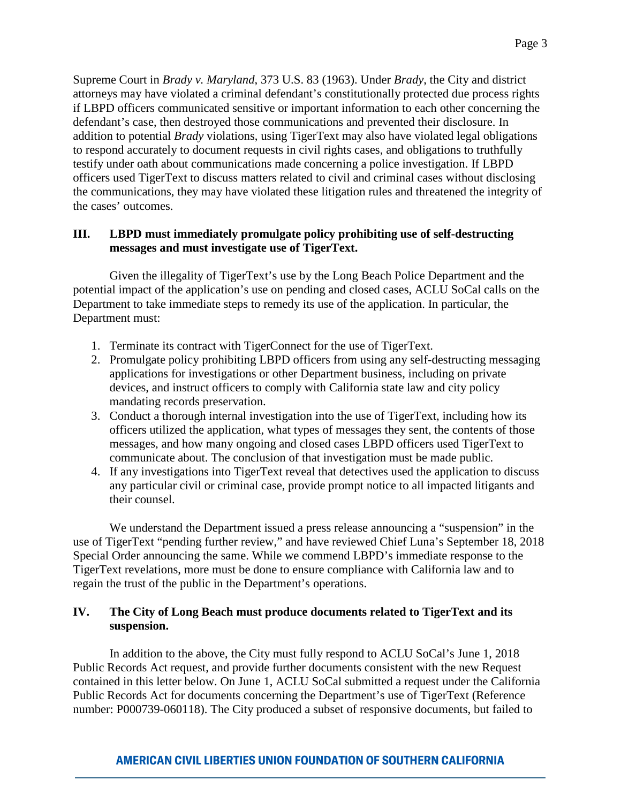Supreme Court in *Brady v. Maryland*, 373 U.S. 83 (1963). Under *Brady*, the City and district attorneys may have violated a criminal defendant's constitutionally protected due process rights if LBPD officers communicated sensitive or important information to each other concerning the defendant's case, then destroyed those communications and prevented their disclosure. In addition to potential *Brady* violations, using TigerText may also have violated legal obligations to respond accurately to document requests in civil rights cases, and obligations to truthfully testify under oath about communications made concerning a police investigation. If LBPD officers used TigerText to discuss matters related to civil and criminal cases without disclosing the communications, they may have violated these litigation rules and threatened the integrity of the cases' outcomes.

# **III. LBPD must immediately promulgate policy prohibiting use of self-destructing messages and must investigate use of TigerText.**

Given the illegality of TigerText's use by the Long Beach Police Department and the potential impact of the application's use on pending and closed cases, ACLU SoCal calls on the Department to take immediate steps to remedy its use of the application. In particular, the Department must:

- 1. Terminate its contract with TigerConnect for the use of TigerText.
- 2. Promulgate policy prohibiting LBPD officers from using any self-destructing messaging applications for investigations or other Department business, including on private devices, and instruct officers to comply with California state law and city policy mandating records preservation.
- 3. Conduct a thorough internal investigation into the use of TigerText, including how its officers utilized the application, what types of messages they sent, the contents of those messages, and how many ongoing and closed cases LBPD officers used TigerText to communicate about. The conclusion of that investigation must be made public.
- 4. If any investigations into TigerText reveal that detectives used the application to discuss any particular civil or criminal case, provide prompt notice to all impacted litigants and their counsel.

We understand the Department issued a press release announcing a "suspension" in the use of TigerText "pending further review," and have reviewed Chief Luna's September 18, 2018 Special Order announcing the same. While we commend LBPD's immediate response to the TigerText revelations, more must be done to ensure compliance with California law and to regain the trust of the public in the Department's operations.

### **IV. The City of Long Beach must produce documents related to TigerText and its suspension.**

In addition to the above, the City must fully respond to ACLU SoCal's June 1, 2018 Public Records Act request, and provide further documents consistent with the new Request contained in this letter below. On June 1, ACLU SoCal submitted a request under the California Public Records Act for documents concerning the Department's use of TigerText (Reference number: P000739-060118). The City produced a subset of responsive documents, but failed to